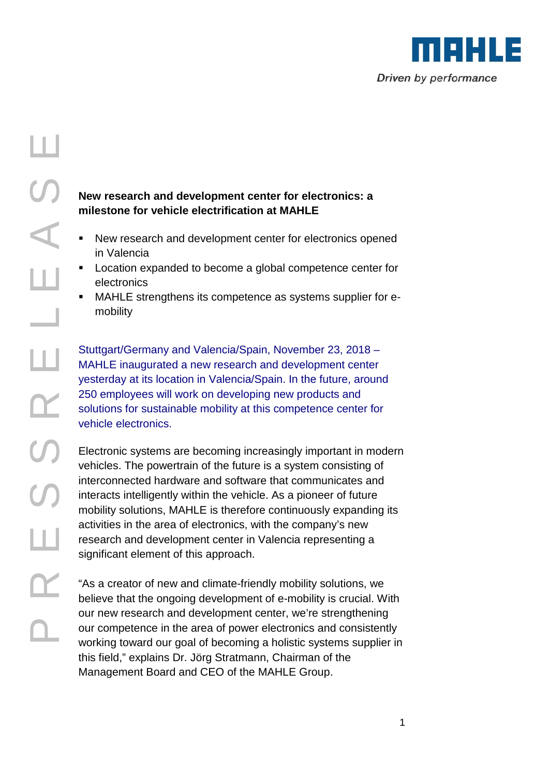

## $\mathbf{\Omega}_{-}$ RE $\mathcal O$  $\mathcal O$ RE $\overline{\phantom{0}}$ EA 山<br>の

## **New research and development center for electronics: a milestone for vehicle electrification at MAHLE**

- New research and development center for electronics opened in Valencia
- **Location expanded to become a global competence center for** electronics
- MAHLE strengthens its competence as systems supplier for emobility

Stuttgart/Germany and Valencia/Spain, November 23, 2018 – MAHLE inaugurated a new research and development center yesterday at its location in Valencia/Spain. In the future, around 250 employees will work on developing new products and solutions for sustainable mobility at this competence center for vehicle electronics.

Electronic systems are becoming increasingly important in modern vehicles. The powertrain of the future is a system consisting of interconnected hardware and software that communicates and interacts intelligently within the vehicle. As a pioneer of future mobility solutions, MAHLE is therefore continuously expanding its activities in the area of electronics, with the company's new research and development center in Valencia representing a significant element of this approach.

"As a creator of new and climate-friendly mobility solutions, we believe that the ongoing development of e-mobility is crucial. With our new research and development center, we're strengthening our competence in the area of power electronics and consistently working toward our goal of becoming a holistic systems supplier in this field," explains Dr. Jörg Stratmann, Chairman of the Management Board and CEO of the MAHLE Group.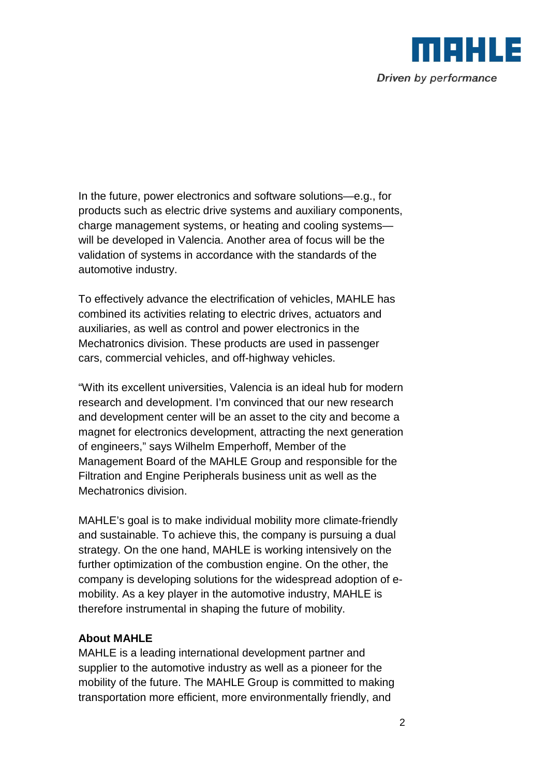

In the future, power electronics and software solutions—e.g., for products such as electric drive systems and auxiliary components, charge management systems, or heating and cooling systems will be developed in Valencia. Another area of focus will be the validation of systems in accordance with the standards of the automotive industry.

To effectively advance the electrification of vehicles, MAHLE has combined its activities relating to electric drives, actuators and auxiliaries, as well as control and power electronics in the Mechatronics division. These products are used in passenger cars, commercial vehicles, and off-highway vehicles.

"With its excellent universities, Valencia is an ideal hub for modern research and development. I'm convinced that our new research and development center will be an asset to the city and become a magnet for electronics development, attracting the next generation of engineers," says Wilhelm Emperhoff, Member of the Management Board of the MAHLE Group and responsible for the Filtration and Engine Peripherals business unit as well as the Mechatronics division.

MAHLE's goal is to make individual mobility more climate-friendly and sustainable. To achieve this, the company is pursuing a dual strategy. On the one hand, MAHLE is working intensively on the further optimization of the combustion engine. On the other, the company is developing solutions for the widespread adoption of emobility. As a key player in the automotive industry, MAHLE is therefore instrumental in shaping the future of mobility.

## **About MAHLE**

MAHLE is a leading international development partner and supplier to the automotive industry as well as a pioneer for the mobility of the future. The MAHLE Group is committed to making transportation more efficient, more environmentally friendly, and